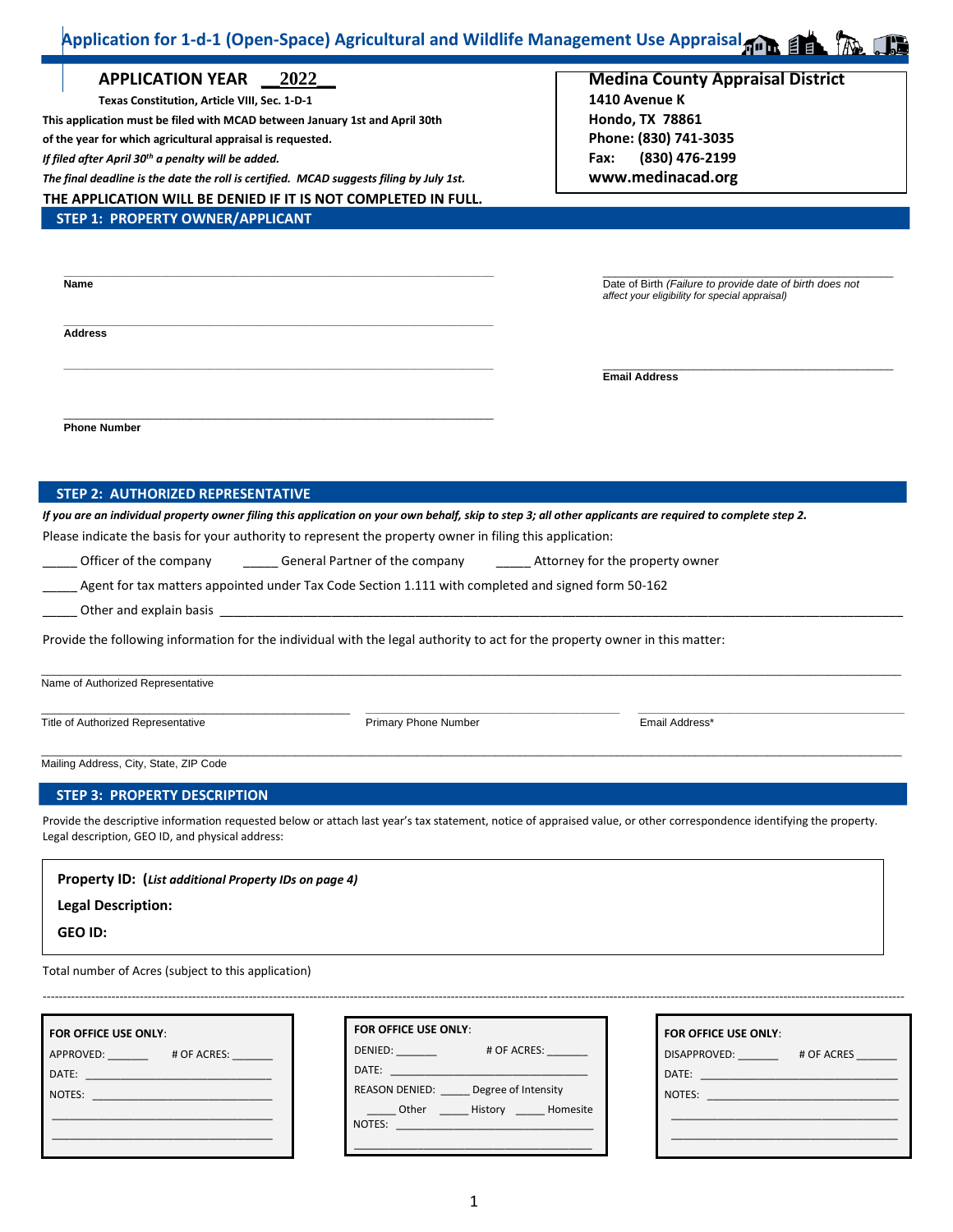#### $\mathbf{r}$  $\overline{a}$ **Application for 1-d-1 (Open-Space) Agricultural and Wildlife Management Use Appraisal**

|                                                                                                                                                                                                                                                                                                                                                                                                                                                                                                |                                                                                                                                                                                                                                | Application for 1-d-1 (Open-Space) Agricultural and Wildlife Management Use Appraisal <b>And State (A)</b>                                                |
|------------------------------------------------------------------------------------------------------------------------------------------------------------------------------------------------------------------------------------------------------------------------------------------------------------------------------------------------------------------------------------------------------------------------------------------------------------------------------------------------|--------------------------------------------------------------------------------------------------------------------------------------------------------------------------------------------------------------------------------|-----------------------------------------------------------------------------------------------------------------------------------------------------------|
| <b>APPLICATION YEAR</b><br>Texas Constitution, Article VIII, Sec. 1-D-1<br>This application must be filed with MCAD between January 1st and April 30th<br>of the year for which agricultural appraisal is requested.<br>If filed after April 30 <sup>th</sup> a penalty will be added.<br>The final deadline is the date the roll is certified. MCAD suggests filing by July 1st.<br>THE APPLICATION WILL BE DENIED IF IT IS NOT COMPLETED IN FULL.<br><b>STEP 1: PROPERTY OWNER/APPLICANT</b> | 2022                                                                                                                                                                                                                           | <b>Medina County Appraisal District</b><br>1410 Avenue K<br>Hondo, TX 78861<br>Phone: (830) 741-3035<br>(830) 476-2199<br>Fax:<br>www.medinacad.org       |
| <b>Name</b>                                                                                                                                                                                                                                                                                                                                                                                                                                                                                    |                                                                                                                                                                                                                                | Date of Birth (Failure to provide date of birth does not<br>affect your eligibility for special appraisal)                                                |
| <b>Address</b>                                                                                                                                                                                                                                                                                                                                                                                                                                                                                 |                                                                                                                                                                                                                                |                                                                                                                                                           |
| <b>Phone Number</b>                                                                                                                                                                                                                                                                                                                                                                                                                                                                            |                                                                                                                                                                                                                                |                                                                                                                                                           |
| <b>STEP 2: AUTHORIZED REPRESENTATIVE</b>                                                                                                                                                                                                                                                                                                                                                                                                                                                       |                                                                                                                                                                                                                                | If you are an individual property owner filing this application on your own behalf, skip to step 3; all other applicants are required to complete step 2. |
|                                                                                                                                                                                                                                                                                                                                                                                                                                                                                                | Please indicate the basis for your authority to represent the property owner in filing this application:                                                                                                                       |                                                                                                                                                           |
| Officer of the company                                                                                                                                                                                                                                                                                                                                                                                                                                                                         |                                                                                                                                                                                                                                |                                                                                                                                                           |
|                                                                                                                                                                                                                                                                                                                                                                                                                                                                                                | Agent for tax matters appointed under Tax Code Section 1.111 with completed and signed form 50-162                                                                                                                             |                                                                                                                                                           |
|                                                                                                                                                                                                                                                                                                                                                                                                                                                                                                | Other and explain basis and a state of the state of the state of the state of the state of the state of the state of the state of the state of the state of the state of the state of the state of the state of the state of t |                                                                                                                                                           |
|                                                                                                                                                                                                                                                                                                                                                                                                                                                                                                | Provide the following information for the individual with the legal authority to act for the property owner in this matter:                                                                                                    |                                                                                                                                                           |
| Name of Authorized Representative                                                                                                                                                                                                                                                                                                                                                                                                                                                              |                                                                                                                                                                                                                                |                                                                                                                                                           |
| Title of Authorized Representative                                                                                                                                                                                                                                                                                                                                                                                                                                                             | <b>Primary Phone Number</b>                                                                                                                                                                                                    | Email Address*                                                                                                                                            |

Mailing Address, City, State, ZIP Code

### **STEP 3: PROPERTY DESCRIPTION**

Provide the descriptive information requested below or attach last year's tax statement, notice of appraised value, or other correspondence identifying the property. Legal description, GEO ID, and physical address:

\_\_\_\_\_\_\_\_\_\_\_\_\_\_\_\_\_\_\_\_\_\_\_\_\_\_\_\_\_\_\_\_\_\_\_\_\_\_\_\_\_\_\_\_\_\_\_\_\_\_\_\_\_\_\_\_\_\_\_\_\_\_\_\_\_\_\_\_\_\_\_\_\_\_\_\_\_\_\_\_\_\_\_\_\_\_\_\_\_\_\_\_\_\_\_\_\_\_\_\_\_\_\_\_\_\_\_\_\_\_\_\_\_\_\_\_\_\_\_\_\_\_\_\_\_\_\_\_\_\_\_\_\_\_\_\_\_\_\_\_\_\_

**Property ID: (***List additional Property IDs on page 4)*

**Legal Description:**

**GEO ID:**

Total number of Acres (subject to this application)

| FOR OFFICE USE ONLY: |             |
|----------------------|-------------|
| APPROVED: APPROVED:  | # OF ACRES: |
| DATE:                |             |
| <b>NOTES:</b>        |             |
|                      |             |
|                      |             |
|                      |             |

| FOR OFFICE USE ONLY: |                     |  |  |  |  |  |  |
|----------------------|---------------------|--|--|--|--|--|--|
| DENIED:              | # OF ACRES:         |  |  |  |  |  |  |
|                      |                     |  |  |  |  |  |  |
| REASON DENIED:       | Degree of Intensity |  |  |  |  |  |  |
| Other                | History Homesite    |  |  |  |  |  |  |
| NOTES:               |                     |  |  |  |  |  |  |
|                      |                     |  |  |  |  |  |  |

---------------------------------------------------------------------------------------------------------------------------------------------------------------------------------------------------------------------

| FOR OFFICE USE ONLY: |            |
|----------------------|------------|
| DISAPPROVED:         | # OF ACRES |
| DATE:                |            |
| NOTES:               |            |
|                      |            |
|                      |            |
|                      |            |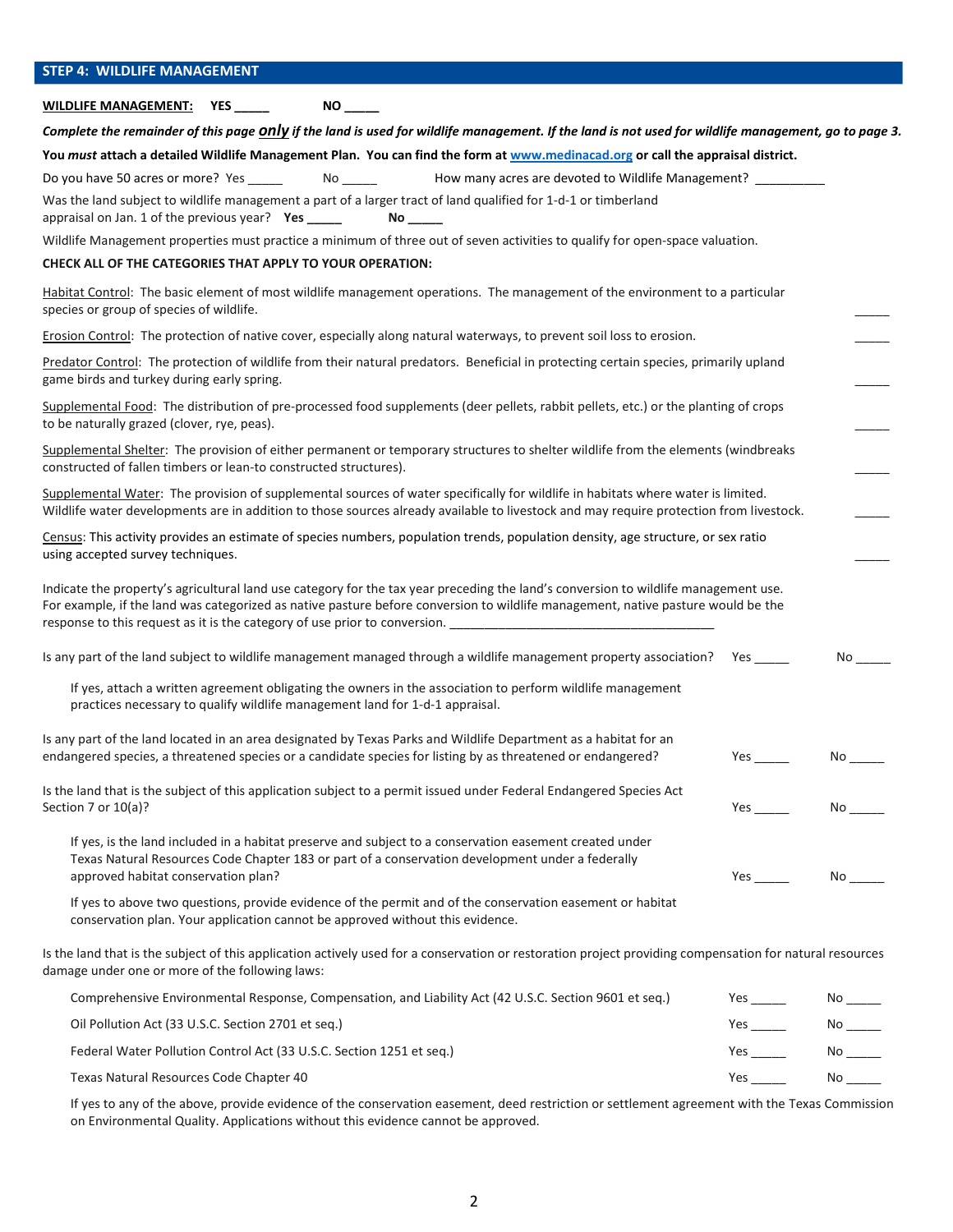# **STEP 4: WILDLIFE MANAGEMENT**

**WILDLIFE MANAGEMENT: YES \_\_\_\_\_ NO \_\_\_\_\_**

| Complete the remainder of this page <i>Only</i> if the land is used for wildlife management. If the land is not used for wildlife management, go to page 3.                                                                                                                                                                                                                               |                                                                                                                                                                                                                                     |                        |
|-------------------------------------------------------------------------------------------------------------------------------------------------------------------------------------------------------------------------------------------------------------------------------------------------------------------------------------------------------------------------------------------|-------------------------------------------------------------------------------------------------------------------------------------------------------------------------------------------------------------------------------------|------------------------|
| You must attach a detailed Wildlife Management Plan. You can find the form at www.medinacad.org or call the appraisal district.                                                                                                                                                                                                                                                           |                                                                                                                                                                                                                                     |                        |
| How many acres are devoted to Wildlife Management?                                                                                                                                                                                                                                                                                                                                        |                                                                                                                                                                                                                                     |                        |
| Was the land subject to wildlife management a part of a larger tract of land qualified for 1-d-1 or timberland<br>appraisal on Jan. 1 of the previous year? Yes _____                                                                                                                                                                                                                     |                                                                                                                                                                                                                                     |                        |
| Wildlife Management properties must practice a minimum of three out of seven activities to qualify for open-space valuation.                                                                                                                                                                                                                                                              |                                                                                                                                                                                                                                     |                        |
| CHECK ALL OF THE CATEGORIES THAT APPLY TO YOUR OPERATION:                                                                                                                                                                                                                                                                                                                                 |                                                                                                                                                                                                                                     |                        |
| Habitat Control: The basic element of most wildlife management operations. The management of the environment to a particular<br>species or group of species of wildlife.                                                                                                                                                                                                                  |                                                                                                                                                                                                                                     |                        |
| Erosion Control: The protection of native cover, especially along natural waterways, to prevent soil loss to erosion.                                                                                                                                                                                                                                                                     |                                                                                                                                                                                                                                     |                        |
| Predator Control: The protection of wildlife from their natural predators. Beneficial in protecting certain species, primarily upland<br>game birds and turkey during early spring.                                                                                                                                                                                                       |                                                                                                                                                                                                                                     |                        |
| Supplemental Food: The distribution of pre-processed food supplements (deer pellets, rabbit pellets, etc.) or the planting of crops<br>to be naturally grazed (clover, rye, peas).                                                                                                                                                                                                        |                                                                                                                                                                                                                                     |                        |
| Supplemental Shelter: The provision of either permanent or temporary structures to shelter wildlife from the elements (windbreaks<br>constructed of fallen timbers or lean-to constructed structures).                                                                                                                                                                                    |                                                                                                                                                                                                                                     |                        |
| Supplemental Water: The provision of supplemental sources of water specifically for wildlife in habitats where water is limited.<br>Wildlife water developments are in addition to those sources already available to livestock and may require protection from livestock.                                                                                                                |                                                                                                                                                                                                                                     |                        |
| Census: This activity provides an estimate of species numbers, population trends, population density, age structure, or sex ratio<br>using accepted survey techniques.                                                                                                                                                                                                                    |                                                                                                                                                                                                                                     |                        |
| Indicate the property's agricultural land use category for the tax year preceding the land's conversion to wildlife management use.<br>For example, if the land was categorized as native pasture before conversion to wildlife management, native pasture would be the<br>response to this request as it is the category of use prior to conversion. ___________________________________ |                                                                                                                                                                                                                                     |                        |
| Is any part of the land subject to wildlife management managed through a wildlife management property association? Yes ____                                                                                                                                                                                                                                                               |                                                                                                                                                                                                                                     | No                     |
| If yes, attach a written agreement obligating the owners in the association to perform wildlife management<br>practices necessary to qualify wildlife management land for 1-d-1 appraisal.                                                                                                                                                                                                |                                                                                                                                                                                                                                     |                        |
| Is any part of the land located in an area designated by Texas Parks and Wildlife Department as a habitat for an<br>endangered species, a threatened species or a candidate species for listing by as threatened or endangered?                                                                                                                                                           | Yes and the set of the set of the set of the set of the set of the set of the set of the set of the set of the                                                                                                                      | No.                    |
| Is the land that is the subject of this application subject to a permit issued under Federal Endangered Species Act<br>Section 7 or $10(a)?$                                                                                                                                                                                                                                              |                                                                                                                                                                                                                                     | No _____               |
| If yes, is the land included in a habitat preserve and subject to a conservation easement created under<br>Texas Natural Resources Code Chapter 183 or part of a conservation development under a federally<br>approved habitat conservation plan?                                                                                                                                        | <b>Yes</b> and the set of the set of the set of the set of the set of the set of the set of the set of the set of the set of the set of the set of the set of the set of the set of the set of the set of the set of the set of the |                        |
| If yes to above two questions, provide evidence of the permit and of the conservation easement or habitat<br>conservation plan. Your application cannot be approved without this evidence.                                                                                                                                                                                                |                                                                                                                                                                                                                                     |                        |
| Is the land that is the subject of this application actively used for a conservation or restoration project providing compensation for natural resources<br>damage under one or more of the following laws:                                                                                                                                                                               |                                                                                                                                                                                                                                     |                        |
| Comprehensive Environmental Response, Compensation, and Liability Act (42 U.S.C. Section 9601 et seq.)                                                                                                                                                                                                                                                                                    | Yes $\rule{1em}{0.15mm}$                                                                                                                                                                                                            |                        |
|                                                                                                                                                                                                                                                                                                                                                                                           |                                                                                                                                                                                                                                     | $No$ <sub>______</sub> |
| Oil Pollution Act (33 U.S.C. Section 2701 et seq.)                                                                                                                                                                                                                                                                                                                                        | Yes $\_\_\_\_\_\_\_\$                                                                                                                                                                                                               |                        |

Texas Natural Resources Code Chapter 40 No and the Second Second Second Second Second Second Second Second Second Second Second Second Second Second Second Second Second Second Second Second Second Second Second Second Sec

If yes to any of the above, provide evidence of the conservation easement, deed restriction or settlement agreement with the Texas Commission on Environmental Quality. Applications without this evidence cannot be approved.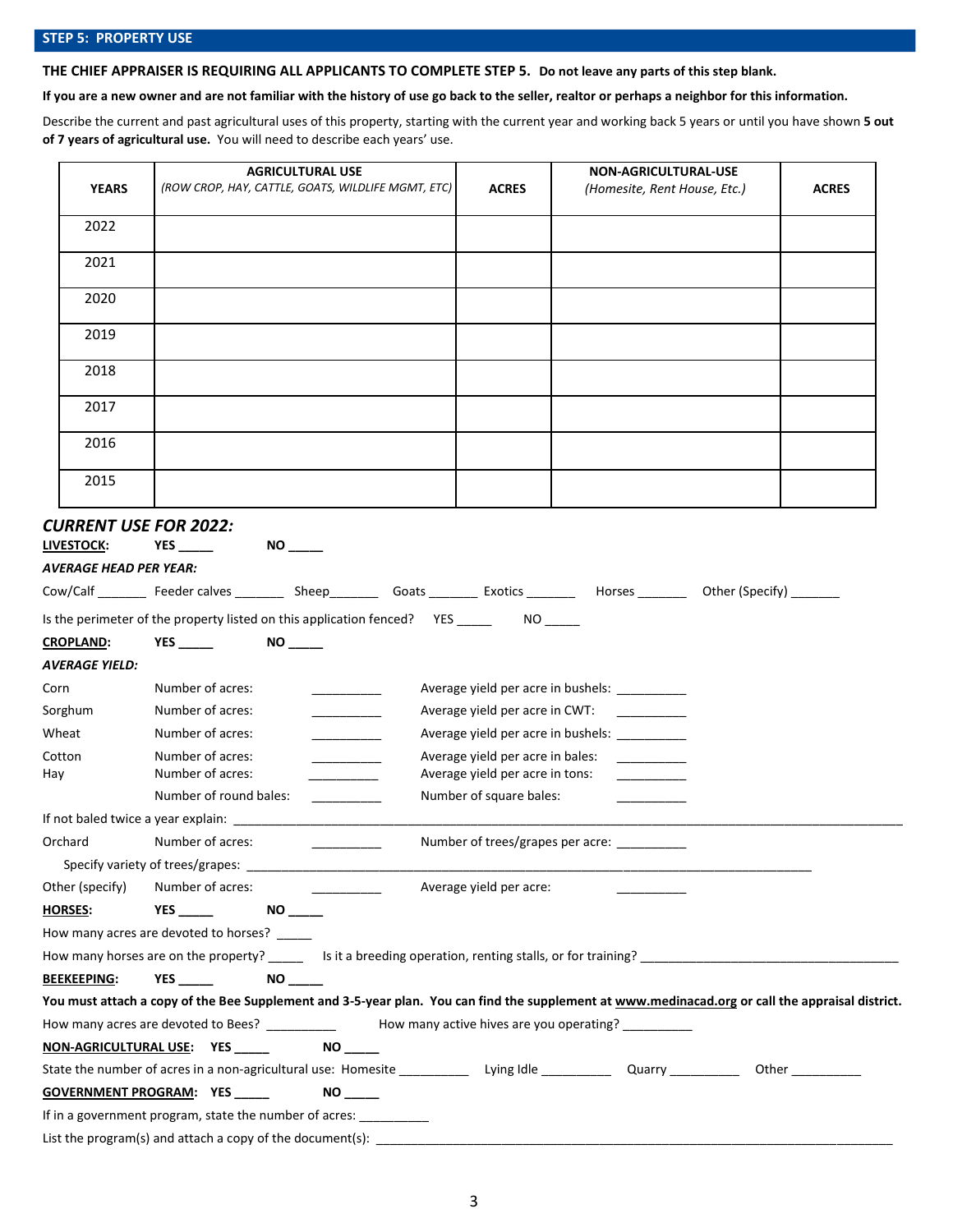## **STEP 5: PROPERTY USE**

**THE CHIEF APPRAISER IS REQUIRING ALL APPLICANTS TO COMPLETE STEP 5. Do not leave any parts of this step blank.**

**If you are a new owner and are not familiar with the history of use go back to the seller, realtor or perhaps a neighbor for this information.**

Describe the current and past agricultural uses of this property, starting with the current year and working back 5 years or until you have shown **5 out of 7 years of agricultural use.** You will need to describe each years' use.

|                                                                                    |                                                                   | <b>AGRICULTURAL USE</b>                                                                                                                          |                                                                     | NON-AGRICULTURAL-USE                           |              |
|------------------------------------------------------------------------------------|-------------------------------------------------------------------|--------------------------------------------------------------------------------------------------------------------------------------------------|---------------------------------------------------------------------|------------------------------------------------|--------------|
| <b>YEARS</b>                                                                       |                                                                   | (ROW CROP, HAY, CATTLE, GOATS, WILDLIFE MGMT, ETC)                                                                                               | <b>ACRES</b>                                                        | (Homesite, Rent House, Etc.)                   | <b>ACRES</b> |
| 2022                                                                               |                                                                   |                                                                                                                                                  |                                                                     |                                                |              |
| 2021                                                                               |                                                                   |                                                                                                                                                  |                                                                     |                                                |              |
| 2020                                                                               |                                                                   |                                                                                                                                                  |                                                                     |                                                |              |
| 2019                                                                               |                                                                   |                                                                                                                                                  |                                                                     |                                                |              |
| 2018                                                                               |                                                                   |                                                                                                                                                  |                                                                     |                                                |              |
| 2017                                                                               |                                                                   |                                                                                                                                                  |                                                                     |                                                |              |
| 2016                                                                               |                                                                   |                                                                                                                                                  |                                                                     |                                                |              |
| 2015                                                                               |                                                                   |                                                                                                                                                  |                                                                     |                                                |              |
| <b>CURRENT USE FOR 2022:</b><br><b>LIVESTOCK:</b><br><b>AVERAGE HEAD PER YEAR:</b> | <b>YES</b>                                                        |                                                                                                                                                  |                                                                     |                                                |              |
|                                                                                    |                                                                   | Cow/Calf ________ Feeder calves _________ Sheep_________ Goats ________ Exotics ________ Horses ________ Other (Specify) _______                 |                                                                     |                                                |              |
|                                                                                    |                                                                   | Is the perimeter of the property listed on this application fenced? YES _________ NO _____                                                       |                                                                     |                                                |              |
| <b>CROPLAND:</b><br><b>AVERAGE YIELD:</b>                                          | YES ________    NO ______                                         |                                                                                                                                                  |                                                                     |                                                |              |
| Corn                                                                               | Number of acres:                                                  |                                                                                                                                                  |                                                                     | Average yield per acre in bushels: ___________ |              |
| Sorghum                                                                            | Number of acres:                                                  |                                                                                                                                                  | Average yield per acre in CWT:                                      |                                                |              |
| Wheat                                                                              | Number of acres:                                                  | _______________                                                                                                                                  |                                                                     | Average yield per acre in bushels: __________  |              |
| Cotton<br>Hay                                                                      | Number of acres:<br>Number of acres:                              |                                                                                                                                                  | Average yield per acre in bales:<br>Average yield per acre in tons: |                                                |              |
|                                                                                    | Number of round bales:                                            |                                                                                                                                                  | Number of square bales:                                             |                                                |              |
|                                                                                    | If not baled twice a year explain: _________                      |                                                                                                                                                  |                                                                     |                                                |              |
| Orchard                                                                            | Number of acres:                                                  |                                                                                                                                                  |                                                                     | Number of trees/grapes per acre:               |              |
|                                                                                    | Specify variety of trees/grapes:                                  |                                                                                                                                                  |                                                                     |                                                |              |
| Other (specify)                                                                    | Number of acres:                                                  | $\sim$ 100 $\sim$ 100 $\sim$                                                                                                                     | Average yield per acre:                                             |                                                |              |
| <b>HORSES:</b>                                                                     | <b>YES Example 20</b>                                             |                                                                                                                                                  |                                                                     |                                                |              |
|                                                                                    | How many acres are devoted to horses? _____                       |                                                                                                                                                  |                                                                     |                                                |              |
|                                                                                    |                                                                   |                                                                                                                                                  |                                                                     |                                                |              |
| <b>BEEKEEPING:</b>                                                                 | $NO$ <sub>_____</sub><br><b>YES</b>                               |                                                                                                                                                  |                                                                     |                                                |              |
|                                                                                    |                                                                   | You must attach a copy of the Bee Supplement and 3-5-year plan. You can find the supplement at www.medinacad.org or call the appraisal district. |                                                                     |                                                |              |
|                                                                                    |                                                                   | How many acres are devoted to Bees? ______________  How many active hives are you operating? __________                                          |                                                                     |                                                |              |
|                                                                                    | <u>NON-AGRICULTURAL USE: YES _____</u>                            | <b>NO</b>                                                                                                                                        |                                                                     |                                                |              |
|                                                                                    |                                                                   |                                                                                                                                                  |                                                                     |                                                |              |
|                                                                                    | GOVERNMENT PROGRAM: YES                                           |                                                                                                                                                  |                                                                     |                                                |              |
|                                                                                    | If in a government program, state the number of acres: __________ |                                                                                                                                                  |                                                                     |                                                |              |
|                                                                                    |                                                                   |                                                                                                                                                  |                                                                     |                                                |              |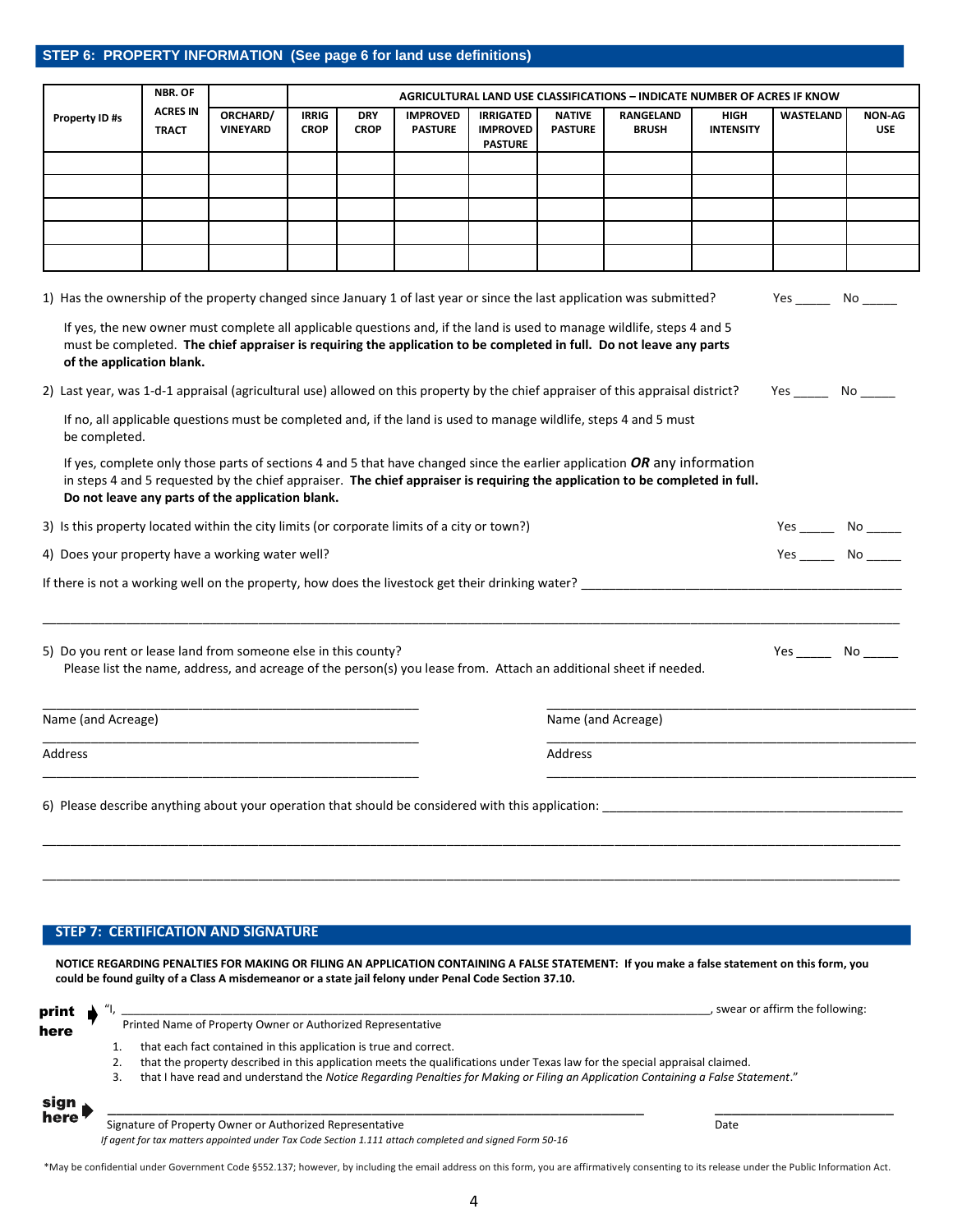### **STEP 6: PROPERTY INFORMATION (See page 6 for land use definitions)**

**STEP 6: PROPERTY INFORMATION**

|                                                                                                                                  | NBR. OF                         |                                                  |                             |                           |                                   |                                                       |                                 | <b>AGRICULTURAL LAND USE CLASSIFICATIONS - INDICATE NUMBER OF ACRES IF KNOW</b>                                                                                                                                                                          |                                 |                                    |                             |
|----------------------------------------------------------------------------------------------------------------------------------|---------------------------------|--------------------------------------------------|-----------------------------|---------------------------|-----------------------------------|-------------------------------------------------------|---------------------------------|----------------------------------------------------------------------------------------------------------------------------------------------------------------------------------------------------------------------------------------------------------|---------------------------------|------------------------------------|-----------------------------|
| Property ID #s                                                                                                                   | <b>ACRES IN</b><br><b>TRACT</b> | ORCHARD/<br><b>VINEYARD</b>                      | <b>IRRIG</b><br><b>CROP</b> | <b>DRY</b><br><b>CROP</b> | <b>IMPROVED</b><br><b>PASTURE</b> | <b>IRRIGATED</b><br><b>IMPROVED</b><br><b>PASTURE</b> | <b>NATIVE</b><br><b>PASTURE</b> | RANGELAND<br><b>BRUSH</b>                                                                                                                                                                                                                                | <b>HIGH</b><br><b>INTENSITY</b> | <b>WASTELAND</b>                   | <b>NON-AG</b><br><b>USE</b> |
|                                                                                                                                  |                                 |                                                  |                             |                           |                                   |                                                       |                                 |                                                                                                                                                                                                                                                          |                                 |                                    |                             |
|                                                                                                                                  |                                 |                                                  |                             |                           |                                   |                                                       |                                 |                                                                                                                                                                                                                                                          |                                 |                                    |                             |
|                                                                                                                                  |                                 |                                                  |                             |                           |                                   |                                                       |                                 |                                                                                                                                                                                                                                                          |                                 |                                    |                             |
|                                                                                                                                  |                                 |                                                  |                             |                           |                                   |                                                       |                                 |                                                                                                                                                                                                                                                          |                                 |                                    |                             |
| 1) Has the ownership of the property changed since January 1 of last year or since the last application was submitted?           |                                 |                                                  |                             |                           |                                   |                                                       |                                 |                                                                                                                                                                                                                                                          |                                 | Yes No                             |                             |
| of the application blank.                                                                                                        |                                 |                                                  |                             |                           |                                   |                                                       |                                 | If yes, the new owner must complete all applicable questions and, if the land is used to manage wildlife, steps 4 and 5<br>must be completed. The chief appraiser is requiring the application to be completed in full. Do not leave any parts           |                                 |                                    |                             |
| 2) Last year, was 1-d-1 appraisal (agricultural use) allowed on this property by the chief appraiser of this appraisal district? |                                 |                                                  |                             |                           |                                   |                                                       |                                 |                                                                                                                                                                                                                                                          |                                 | Yes No                             |                             |
| be completed.                                                                                                                    |                                 |                                                  |                             |                           |                                   |                                                       |                                 | If no, all applicable questions must be completed and, if the land is used to manage wildlife, steps 4 and 5 must                                                                                                                                        |                                 |                                    |                             |
|                                                                                                                                  |                                 | Do not leave any parts of the application blank. |                             |                           |                                   |                                                       |                                 | If yes, complete only those parts of sections 4 and 5 that have changed since the earlier application OR any information<br>in steps 4 and 5 requested by the chief appraiser. The chief appraiser is requiring the application to be completed in full. |                                 |                                    |                             |
| 3) Is this property located within the city limits (or corporate limits of a city or town?)                                      |                                 |                                                  |                             |                           |                                   |                                                       |                                 |                                                                                                                                                                                                                                                          |                                 | Yes _________________ No _________ |                             |
| 4) Does your property have a working water well?                                                                                 |                                 |                                                  |                             |                           |                                   |                                                       |                                 |                                                                                                                                                                                                                                                          |                                 | Yes No                             |                             |
| If there is not a working well on the property, how does the livestock get their drinking water?                                 |                                 |                                                  |                             |                           |                                   |                                                       |                                 |                                                                                                                                                                                                                                                          |                                 |                                    |                             |
| 5) Do you rent or lease land from someone else in this county?                                                                   |                                 |                                                  |                             |                           |                                   |                                                       |                                 | Please list the name, address, and acreage of the person(s) you lease from. Attach an additional sheet if needed.                                                                                                                                        |                                 | $Yes$ No $\_\_$                    |                             |
| Name (and Acreage)                                                                                                               |                                 |                                                  |                             |                           |                                   |                                                       |                                 | Name (and Acreage)                                                                                                                                                                                                                                       |                                 |                                    |                             |
| Address                                                                                                                          |                                 |                                                  |                             |                           |                                   |                                                       | Address                         |                                                                                                                                                                                                                                                          |                                 |                                    |                             |
|                                                                                                                                  |                                 |                                                  |                             |                           |                                   |                                                       |                                 |                                                                                                                                                                                                                                                          |                                 |                                    |                             |
|                                                                                                                                  |                                 |                                                  |                             |                           |                                   |                                                       |                                 |                                                                                                                                                                                                                                                          |                                 |                                    |                             |
|                                                                                                                                  |                                 |                                                  |                             |                           |                                   |                                                       |                                 |                                                                                                                                                                                                                                                          |                                 |                                    |                             |
|                                                                                                                                  |                                 |                                                  |                             |                           |                                   |                                                       |                                 |                                                                                                                                                                                                                                                          |                                 |                                    |                             |
| <b>STEP 7: CERTIFICATION AND SIGNATURE</b>                                                                                       |                                 |                                                  |                             |                           |                                   |                                                       |                                 |                                                                                                                                                                                                                                                          |                                 |                                    |                             |

| print        |    | swear or affirm the following:                                                                                                    |  |  |  |  |  |  |
|--------------|----|-----------------------------------------------------------------------------------------------------------------------------------|--|--|--|--|--|--|
| here         |    | Printed Name of Property Owner or Authorized Representative                                                                       |  |  |  |  |  |  |
|              |    | that each fact contained in this application is true and correct.                                                                 |  |  |  |  |  |  |
|              |    | that the property described in this application meets the qualifications under Texas law for the special appraisal claimed.       |  |  |  |  |  |  |
|              | 3. | that I have read and understand the Notice Regarding Penalties for Making or Filing an Application Containing a False Statement." |  |  |  |  |  |  |
| sign<br>here |    |                                                                                                                                   |  |  |  |  |  |  |

Signature of Property Owner or Authorized Representative **Date and Construction Construction** Date *If agent for tax matters appointed under Tax Code Section 1.111 attach completed and signed Form 50-16*

\*May be confidential under Government Code §552.137; however, by including the email address on this form, you are affirmatively consenting to its release under the Public Information Act.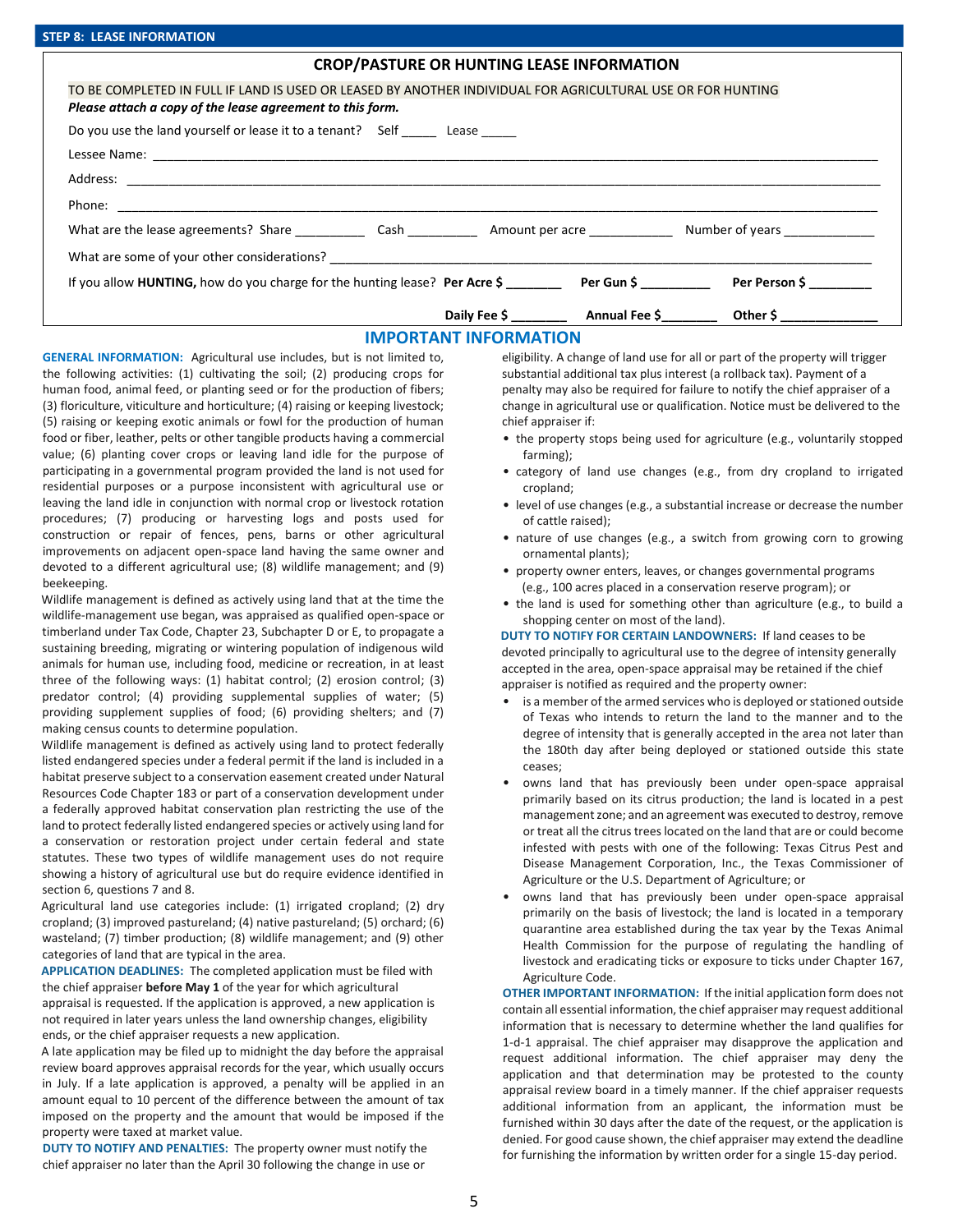#### **CROP/PASTURE OR HUNTING LEASE INFORMATION**

| TO BE COMPLETED IN FULL IF LAND IS USED OR LEASED BY ANOTHER INDIVIDUAL FOR AGRICULTURAL USE OR FOR HUNTING                                                                                                                      |  |               |  |  |  |  |
|----------------------------------------------------------------------------------------------------------------------------------------------------------------------------------------------------------------------------------|--|---------------|--|--|--|--|
| Please attach a copy of the lease agreement to this form.                                                                                                                                                                        |  |               |  |  |  |  |
| Do you use the land yourself or lease it to a tenant? Self ______ Lease ______                                                                                                                                                   |  |               |  |  |  |  |
|                                                                                                                                                                                                                                  |  |               |  |  |  |  |
|                                                                                                                                                                                                                                  |  |               |  |  |  |  |
|                                                                                                                                                                                                                                  |  |               |  |  |  |  |
|                                                                                                                                                                                                                                  |  |               |  |  |  |  |
| What are some of your other considerations?<br>The contract of the constant of the considerations of the contract of the contract of the contract of the contract of the contract of the contract of the contract of the contrac |  |               |  |  |  |  |
| If you allow <b>HUNTING</b> , how do you charge for the hunting lease? <b>Per Acre \$</b> Per Gun \$                                                                                                                             |  | Per Person \$ |  |  |  |  |
|                                                                                                                                                                                                                                  |  |               |  |  |  |  |

#### **IMPORTANT INFORMATION**

**GENERAL INFORMATION:** Agricultural use includes, but is not limited to, the following activities: (1) cultivating the soil; (2) producing crops for human food, animal feed, or planting seed or for the production of fibers; (3) floriculture, viticulture and horticulture; (4) raising or keeping livestock; (5) raising or keeping exotic animals or fowl for the production of human food or fiber, leather, pelts or other tangible products having a commercial value; (6) planting cover crops or leaving land idle for the purpose of participating in a governmental program provided the land is not used for residential purposes or a purpose inconsistent with agricultural use or leaving the land idle in conjunction with normal crop or livestock rotation procedures; (7) producing or harvesting logs and posts used for construction or repair of fences, pens, barns or other agricultural improvements on adjacent open-space land having the same owner and devoted to a different agricultural use; (8) wildlife management; and (9) beekeeping.

Wildlife management is defined as actively using land that at the time the wildlife-management use began, was appraised as qualified open-space or timberland under Tax Code, Chapter 23, Subchapter D or E, to propagate a sustaining breeding, migrating or wintering population of indigenous wild animals for human use, including food, medicine or recreation, in at least three of the following ways: (1) habitat control; (2) erosion control; (3) predator control; (4) providing supplemental supplies of water; (5) providing supplement supplies of food; (6) providing shelters; and (7) making census counts to determine population.

Wildlife management is defined as actively using land to protect federally listed endangered species under a federal permit if the land is included in a habitat preserve subject to a conservation easement created under Natural Resources Code Chapter 183 or part of a conservation development under a federally approved habitat conservation plan restricting the use of the land to protect federally listed endangered species or actively using land for a conservation or restoration project under certain federal and state statutes. These two types of wildlife management uses do not require showing a history of agricultural use but do require evidence identified in section 6, questions 7 and 8.

Agricultural land use categories include: (1) irrigated cropland; (2) dry cropland; (3) improved pastureland; (4) native pastureland; (5) orchard; (6) wasteland; (7) timber production; (8) wildlife management; and (9) other categories of land that are typical in the area.

**APPLICATION DEADLINES:** The completed application must be filed with the chief appraiser **before May 1** of the year for which agricultural appraisal is requested. If the application is approved, a new application is not required in later years unless the land ownership changes, eligibility ends, or the chief appraiser requests a new application.

A late application may be filed up to midnight the day before the appraisal review board approves appraisal records for the year, which usually occurs in July. If a late application is approved, a penalty will be applied in an amount equal to 10 percent of the difference between the amount of tax imposed on the property and the amount that would be imposed if the property were taxed at market value.

**DUTY TO NOTIFY AND PENALTIES:** The property owner must notify the chief appraiser no later than the April 30 following the change in use or

eligibility. A change of land use for all or part of the property will trigger substantial additional tax plus interest (a rollback tax). Payment of a penalty may also be required for failure to notify the chief appraiser of a change in agricultural use or qualification. Notice must be delivered to the chief appraiser if:

- the property stops being used for agriculture (e.g., voluntarily stopped farming);
- category of land use changes (e.g., from dry cropland to irrigated cropland;
- level of use changes (e.g., a substantial increase or decrease the number of cattle raised);
- nature of use changes (e.g., a switch from growing corn to growing ornamental plants);
- property owner enters, leaves, or changes governmental programs (e.g., 100 acres placed in a conservation reserve program); or
- the land is used for something other than agriculture (e.g., to build a shopping center on most of the land).

**DUTY TO NOTIFY FOR CERTAIN LANDOWNERS:** If land ceases to be devoted principally to agricultural use to the degree of intensity generally accepted in the area, open-space appraisal may be retained if the chief appraiser is notified as required and the property owner:

- is a member of the armed services who is deployed or stationed outside of Texas who intends to return the land to the manner and to the degree of intensity that is generally accepted in the area not later than the 180th day after being deployed or stationed outside this state ceases;
- owns land that has previously been under open-space appraisal primarily based on its citrus production; the land is located in a pest management zone; and an agreement was executed to destroy, remove or treat all the citrus trees located on the land that are or could become infested with pests with one of the following: Texas Citrus Pest and Disease Management Corporation, Inc., the Texas Commissioner of Agriculture or the U.S. Department of Agriculture; or
- owns land that has previously been under open-space appraisal primarily on the basis of livestock; the land is located in a temporary quarantine area established during the tax year by the Texas Animal Health Commission for the purpose of regulating the handling of livestock and eradicating ticks or exposure to ticks under Chapter 167, Agriculture Code.

**OTHER IMPORTANT INFORMATION:** If the initial application form does not contain all essential information, the chief appraiser may request additional information that is necessary to determine whether the land qualifies for 1-d-1 appraisal. The chief appraiser may disapprove the application and request additional information. The chief appraiser may deny the application and that determination may be protested to the county appraisal review board in a timely manner. If the chief appraiser requests additional information from an applicant, the information must be furnished within 30 days after the date of the request, or the application is denied. For good cause shown, the chief appraiser may extend the deadline for furnishing the information by written order for a single 15-day period.